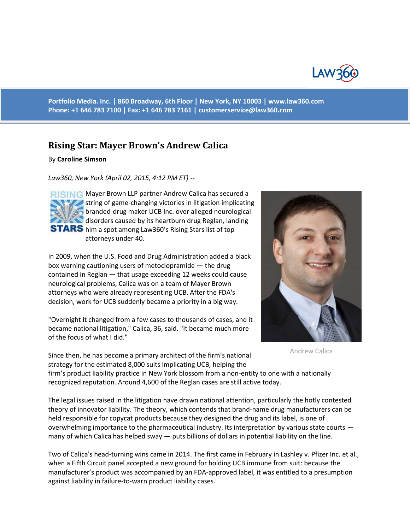

**Portfolio Media. Inc. | 860 Broadway, 6th Floor | New York, NY 10003 | www.law360.com Phone: +1 646 783 7100 | Fax: +1 646 783 7161 | [customerservice@law360.com](mailto:customerservice@law360.com)**

## **Rising Star: Mayer Brown's Andrew Calica**

## By **Caroline Simson**

*Law360, New York (April 02, 2015, 4:12 PM ET) --*

**RISING Mayer Brown LLP partner Andrew Calica has secured a** string of game-changing victories in litigation implicating branded-drug maker UCB Inc. over alleged neurological disorders caused by its heartburn drug Reglan, landing **STARS** him a spot among Law360's Rising Stars list of top attorneys under 40.

In 2009, when the U.S. Food and Drug Administration added a black box warning cautioning users of metoclopramide — the drug contained in Reglan — that usage exceeding 12 weeks could cause neurological problems, Calica was on a team of Mayer Brown attorneys who were already representing UCB. After the FDA's decision, work for UCB suddenly became a priority in a big way.

"Overnight it changed from a few cases to thousands of cases, and it became national litigation," Calica, 36, said. "It became much more of the focus of what I did."

Since then, he has become a primary architect of the firm's national strategy for the estimated 8,000 suits implicating UCB, helping the



Andrew Calica

firm's product liability practice in New York blossom from a non-entity to one with a nationally recognized reputation. Around 4,600 of the Reglan cases are still active today.

The legal issues raised in the litigation have drawn national attention, particularly the hotly contested theory of innovator liability. The theory, which contends that brand-name drug manufacturers can be held responsible for copycat products because they designed the drug and its label, is one of overwhelming importance to the pharmaceutical industry. Its interpretation by various state courts many of which Calica has helped sway — puts billions of dollars in potential liability on the line.

Two of Calica's head-turning wins came in 2014. The first came in February in Lashley v. Pfizer Inc. et al., when a Fifth Circuit panel accepted a new ground for holding UCB immune from suit: because the manufacturer's product was accompanied by an FDA-approved label, it was entitled to a presumption against liability in failure-to-warn product liability cases.